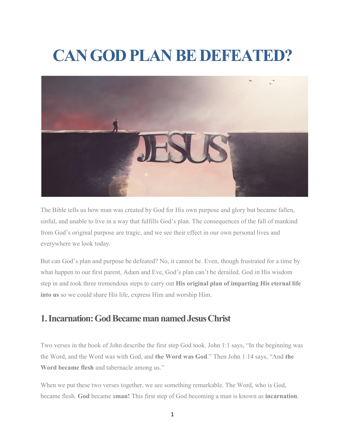# **CAN GOD PLAN BE DEFEATED?**



The Bible tells us how man was created by God for His own purpose and glory but became fallen, sinful, and unable to live in a way that fulfills God's plan. The consequences of the fall of mankind from God's original purpose are tragic, and we see their effect in our own personal lives and everywhere we look today.

But can God's plan and purpose be defeated? No, it cannot be. Even, though frustrated for a time by what happen to our first parent, Adam and Eve, God's plan can't be derailed. God in His wisdom step in and took three tremendous steps to carry out **His original plan of imparting His eternal life into us** so we could share His life, express Him and worship Him.

## **1.Incarnation:GodBecamemannamedJesusChrist**

Two verses in the book of John describe the first step God took. John 1:1 says, "In the beginning was the Word, and the Word was with God, and **the Word was God**." Then John 1:14 says, "And **the Word became flesh** and tabernacle among us."

When we put these two verses together, we see something remarkable. The Word, who is God, became flesh. **God** became a**man!** This first step of God becoming a man is known as **incarnation**.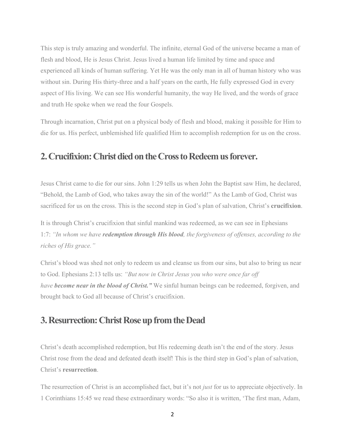This step is truly amazing and wonderful. The infinite, eternal God of the universe became a man of flesh and blood, He is Jesus Christ. Jesus lived a human life limited by time and space and experienced all kinds ofhuman suffering. Yet He was the only man in allof human history who was without sin. During His thirty-three and a half years on the earth, He fully expressed God in every aspect of His living. We can see His wonderful humanity, the way He lived, and the words of grace and truth He spoke when we read the four Gospels.

Through incarnation, Christ put on a physical body of flesh and blood, making it possible for Him to die for us. His perfect, unblemished life qualified Him to accomplish redemption for us on the cross.

### **2.Crucifixion:ChristdiedontheCrosstoRedeemusforever.**

Jesus Christ came to die for our sins. John 1:29 tells us when John the Baptist saw Him, he declared, "Behold, the Lamb of God, who takes away the sin of the world!" As the Lamb of God, Christ was sacrificed for us on the cross. This is the second step in God's plan of salvation, Christ's **crucifixion**.

It is through Christ's crucifixion that sinfulmankind was redeemed, as we can see in Ephesians 1:7: *"In whom we have redemption through His blood, the forgiveness of of enses, according to the riches of His grace."*

Christ's blood was shed not only to redeem us and cleanse us from our sins, but also to bring us near to God. Ephesians 2:13 tells us: *"But now in Christ Jesus you who were once far of have become near in the blood of Christ."* We sinful human beings can be redeemed, forgiven, and brought back to God all because of Christ's crucifixion.

### **3. Resurrection: Christ Rose up from the Dead**

Christ's death accomplished redemption, but His redeeming death isn't the end of the story. Jesus Christ rose from the dead and defeated death itself! This is the third step in God's plan of salvation, Christ's **resurrection**.

The resurrection of Christ is an accomplished fact, but it's not *just* for us to appreciate objectively. In 1 Corinthians 15:45 we read these extraordinary words: "So also it is written, 'The first man, Adam,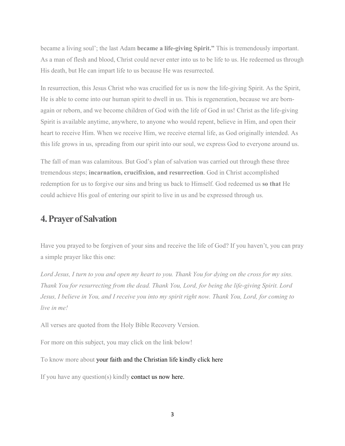became a living soul'; the last Adam **became a life-giving Spirit."** This is tremendously important. As a man of flesh and blood, Christ could never enter into us to be life to us. He redeemed us through His death, but He can impart life to us because He was resurrected.

In resurrection, this Jesus Christ who was crucified for us is now the life-giving Spirit. As the Spirit, He is able to come into our human spirit to dwell in us. This is regeneration, because we are born again or reborn, and we become children of God with the life of God in us! Christ as the life-giving Spirit is available anytime, anywhere, to anyone who would repent, believe in Him, and open their heart to receive Him. When we receive Him, we receive eternal life, as God originally intended. As this life grows in us, spreading from our spirit into our soul, we express God to everyone around us.

The fall of man was calamitous. But God's plan of salvation was carried out through these three tremendous steps; **incarnation, crucifixion, and resurrection**.God in Christ accomplished redemption for us to forgive our sins and bring us back to Himself.God redeemed us **so that** He could achieve His goal of entering our spirit to live in us and be expressed through us.

#### **4.PrayerofSalvation**

Have you prayed to be forgiven of yoursins and receive the life of God? If you haven't, you can pray a simple prayer like this one:

Lord Jesus, I turn to you and open my heart to you. Thank You for dying on the cross for my sins. *Thank You for resurrecting from the dead. Thank You, Lord, for being the life-giving Spirit. Lord* Jesus, I believe in You, and I receive you into my spirit right now. Thank You, Lord, for coming to *live in me!*

All verses are quoted from the Holy Bible Recovery Version.

For more on this subject, you may click on the link below!

To know more about your faith and the [Christian](https://lmcglobal.org/foundational-bible-teaching/) life kindly click here

If you have any question(s) kindly [contact](https://lmcglobal.org/contact-us/) us now here.